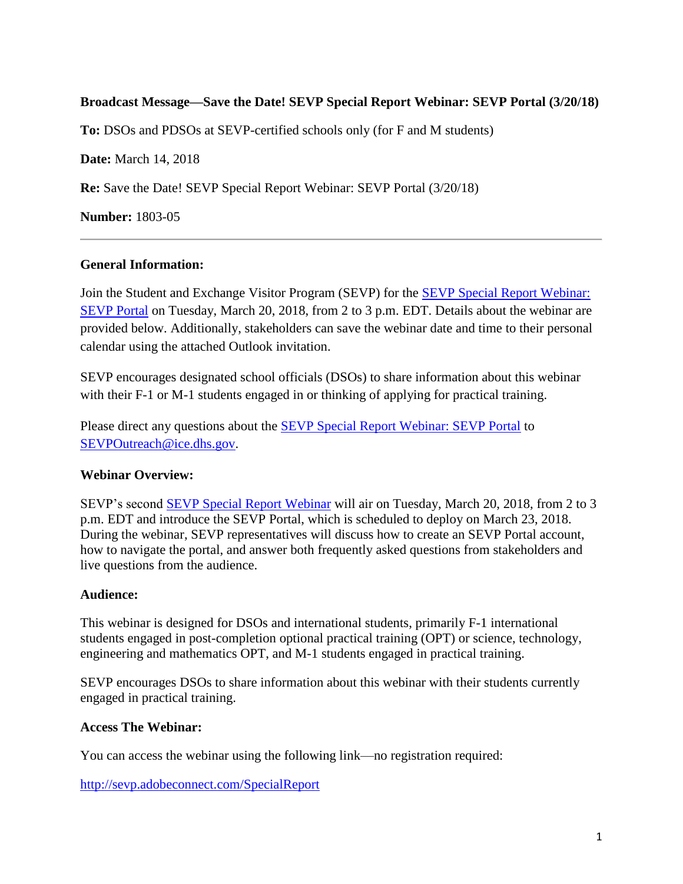# **Broadcast Message—Save the Date! SEVP Special Report Webinar: SEVP Portal (3/20/18)**

**To:** DSOs and PDSOs at SEVP-certified schools only (for F and M students)

**Date:** March 14, 2018

**Re:** Save the Date! SEVP Special Report Webinar: SEVP Portal (3/20/18)

**Number:** 1803-05

### **General Information:**

Join the Student and Exchange Visitor Program (SEVP) for the [SEVP Special Report Webinar:](https://studyinthestates.dhs.gov/webinar/sevp-special-report-webinar-sevp-portal)  [SEVP Portal](https://studyinthestates.dhs.gov/webinar/sevp-special-report-webinar-sevp-portal) on Tuesday, March 20, 2018, from 2 to 3 p.m. EDT. Details about the webinar are provided below. Additionally, stakeholders can save the webinar date and time to their personal calendar using the attached Outlook invitation.

SEVP encourages designated school officials (DSOs) to share information about this webinar with their F-1 or M-1 students engaged in or thinking of applying for practical training.

Please direct any questions about the [SEVP Special Report Webinar: SEVP Portal](https://studyinthestates.dhs.gov/webinar/sevp-special-report-webinar-sevp-portal) to [SEVPOutreach@ice.dhs.gov.](mailto:SEVPOutreach@ice.dhs.gov)

### **Webinar Overview:**

SEVP's second [SEVP Special Report Webinar](https://studyinthestates.dhs.gov/webinar/sevp-special-report-webinar-sevp-portal) will air on Tuesday, March 20, 2018, from 2 to 3 p.m. EDT and introduce the SEVP Portal, which is scheduled to deploy on March 23, 2018. During the webinar, SEVP representatives will discuss how to create an SEVP Portal account, how to navigate the portal, and answer both frequently asked questions from stakeholders and live questions from the audience.

#### **Audience:**

This webinar is designed for DSOs and international students, primarily F-1 international students engaged in post-completion optional practical training (OPT) or science, technology, engineering and mathematics OPT, and M-1 students engaged in practical training.

SEVP encourages DSOs to share information about this webinar with their students currently engaged in practical training.

### **Access The Webinar:**

You can access the webinar using the following link—no registration required:

<http://sevp.adobeconnect.com/SpecialReport>